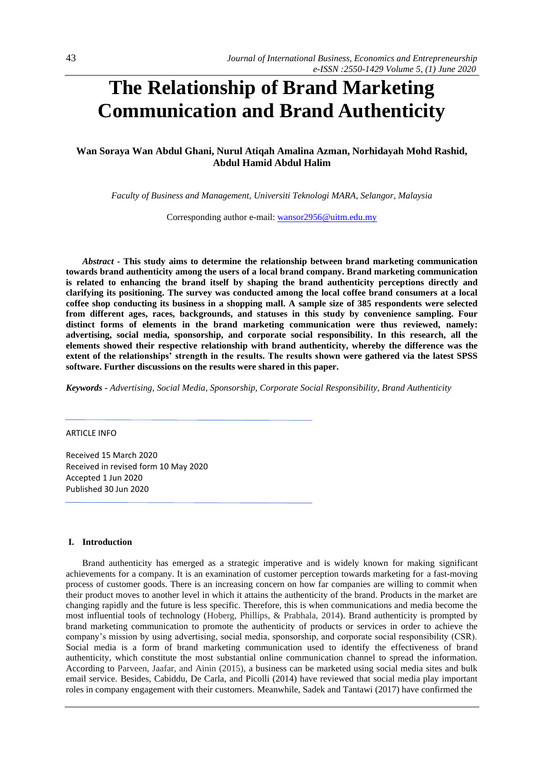# **The Relationship of Brand Marketing Communication and Brand Authenticity**

# **Wan Soraya Wan Abdul Ghani, Nurul Atiqah Amalina Azman, Norhidayah Mohd Rashid, Abdul Hamid Abdul Halim**

*Faculty of Business and Management, Universiti Teknologi MARA, Selangor, Malaysia*

Corresponding author e-mail: [wansor2956@uitm.edu.my](mailto:wansor2956@uitm.edu.my)

*Abstract -* **This study aims to determine the relationship between brand marketing communication towards brand authenticity among the users of a local brand company. Brand marketing communication is related to enhancing the brand itself by shaping the brand authenticity perceptions directly and clarifying its positioning. The survey was conducted among the local coffee brand consumers at a local coffee shop conducting its business in a shopping mall. A sample size of 385 respondents were selected from different ages, races, backgrounds, and statuses in this study by convenience sampling. Four distinct forms of elements in the brand marketing communication were thus reviewed, namely: advertising, social media, sponsorship, and corporate social responsibility. In this research, all the elements showed their respective relationship with brand authenticity, whereby the difference was the extent of the relationships' strength in the results. The results shown were gathered via the latest SPSS software. Further discussions on the results were shared in this paper.**

*Keywords - Advertising, Social Media, Sponsorship, Corporate Social Responsibility, Brand Authenticity*

## ARTICLE INFO

Received 15 March 2020 Received in revised form 10 May 2020 Accepted 1 Jun 2020 Published 30 Jun 2020

#### **I. Introduction**

Brand authenticity has emerged as a strategic imperative and is widely known for making significant achievements for a company. It is an examination of customer perception towards marketing for a fast-moving process of customer goods. There is an increasing concern on how far companies are willing to commit when their product moves to another level in which it attains the authenticity of the brand. Products in the market are changing rapidly and the future is less specific. Therefore, this is when communications and media become the most influential tools of technology (Hoberg, Phillips, & Prabhala, 2014). Brand authenticity is prompted by brand marketing communication to promote the authenticity of products or services in order to achieve the company's mission by using advertising, social media, sponsorship, and corporate social responsibility (CSR). Social media is a form of brand marketing communication used to identify the effectiveness of brand authenticity, which constitute the most substantial online communication channel to spread the information. According to Parveen, Jaafar, and Ainin (2015), a business can be marketed using social media sites and bulk email service. Besides, Cabiddu, De Carla, and Picolli (2014) have reviewed that social media play important roles in company engagement with their customers. Meanwhile, Sadek and Tantawi (2017) have confirmed the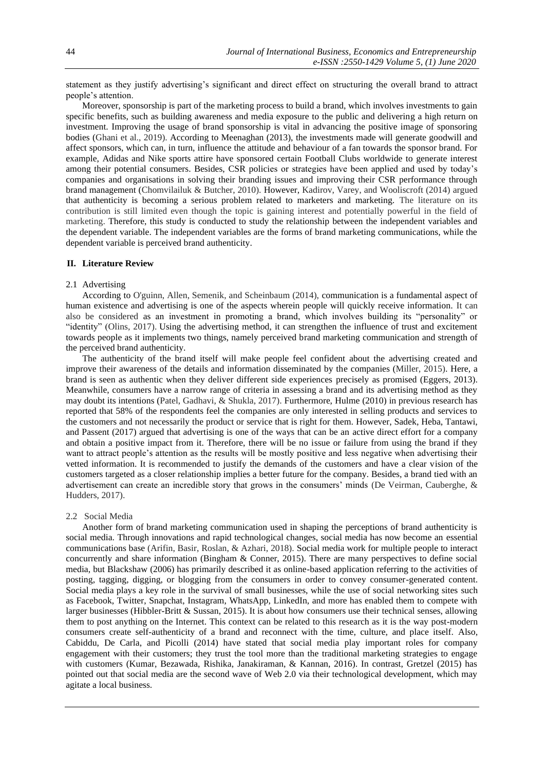statement as they justify advertising's significant and direct effect on structuring the overall brand to attract people's attention.

Moreover, sponsorship is part of the marketing process to build a brand, which involves investments to gain specific benefits, such as building awareness and media exposure to the public and delivering a high return on investment. Improving the usage of brand sponsorship is vital in advancing the positive image of sponsoring bodies (Ghani et al., 2019). According to Meenaghan (2013), the investments made will generate goodwill and affect sponsors, which can, in turn, influence the attitude and behaviour of a fan towards the sponsor brand. For example, Adidas and Nike sports attire have sponsored certain Football Clubs worldwide to generate interest among their potential consumers. Besides, CSR policies or strategies have been applied and used by today's companies and organisations in solving their branding issues and improving their CSR performance through brand management (Chomvilailuk & Butcher, 2010). However, Kadirov, Varey, and Wooliscroft (2014) argued that authenticity is becoming a serious problem related to marketers and marketing. The literature on its contribution is still limited even though the topic is gaining interest and potentially powerful in the field of marketing. Therefore, this study is conducted to study the relationship between the independent variables and the dependent variable. The independent variables are the forms of brand marketing communications, while the dependent variable is perceived brand authenticity.

#### **II. Literature Review**

#### 2.1 Advertising

According to O'guinn, Allen, Semenik, and Scheinbaum (2014), communication is a fundamental aspect of human existence and advertising is one of the aspects wherein people will quickly receive information. It can also be considered as an investment in promoting a brand, which involves building its "personality" or "identity" (Olins, 2017). Using the advertising method, it can strengthen the influence of trust and excitement towards people as it implements two things, namely perceived brand marketing communication and strength of the perceived brand authenticity.

The authenticity of the brand itself will make people feel confident about the advertising created and improve their awareness of the details and information disseminated by the companies (Miller, 2015). Here, a brand is seen as authentic when they deliver different side experiences precisely as promised (Eggers, 2013). Meanwhile, consumers have a narrow range of criteria in assessing a brand and its advertising method as they may doubt its intentions (Patel, Gadhavi, & Shukla, 2017). Furthermore, Hulme (2010) in previous research has reported that 58% of the respondents feel the companies are only interested in selling products and services to the customers and not necessarily the product or service that is right for them. However, Sadek, Heba, Tantawi, and Passent (2017) argued that advertising is one of the ways that can be an active direct effort for a company and obtain a positive impact from it. Therefore, there will be no issue or failure from using the brand if they want to attract people's attention as the results will be mostly positive and less negative when advertising their vetted information. It is recommended to justify the demands of the customers and have a clear vision of the customers targeted as a closer relationship implies a better future for the company. Besides, a brand tied with an advertisement can create an incredible story that grows in the consumers' minds (De Veirman, Cauberghe, & Hudders, 2017).

#### 2.2 Social Media

Another form of brand marketing communication used in shaping the perceptions of brand authenticity is social media. Through innovations and rapid technological changes, social media has now become an essential communications base (Arifin, Basir, Roslan, & Azhari, 2018). Social media work for multiple people to interact concurrently and share information (Bingham & Conner, 2015). There are many perspectives to define social media, but Blackshaw (2006) has primarily described it as online-based application referring to the activities of posting, tagging, digging, or blogging from the consumers in order to convey consumer-generated content. Social media plays a key role in the survival of small businesses, while the use of social networking sites such as Facebook, Twitter, Snapchat, Instagram, WhatsApp, LinkedIn, and more has enabled them to compete with larger businesses (Hibbler-Britt & Sussan, 2015). It is about how consumers use their technical senses, allowing them to post anything on the Internet. This context can be related to this research as it is the way post-modern consumers create self-authenticity of a brand and reconnect with the time, culture, and place itself. Also, Cabiddu, De Carla, and Picolli (2014) have stated that social media play important roles for company engagement with their customers; they trust the tool more than the traditional marketing strategies to engage with customers (Kumar, Bezawada, Rishika, Janakiraman, & Kannan, 2016). In contrast, Gretzel (2015) has pointed out that social media are the second wave of Web 2.0 via their technological development, which may agitate a local business.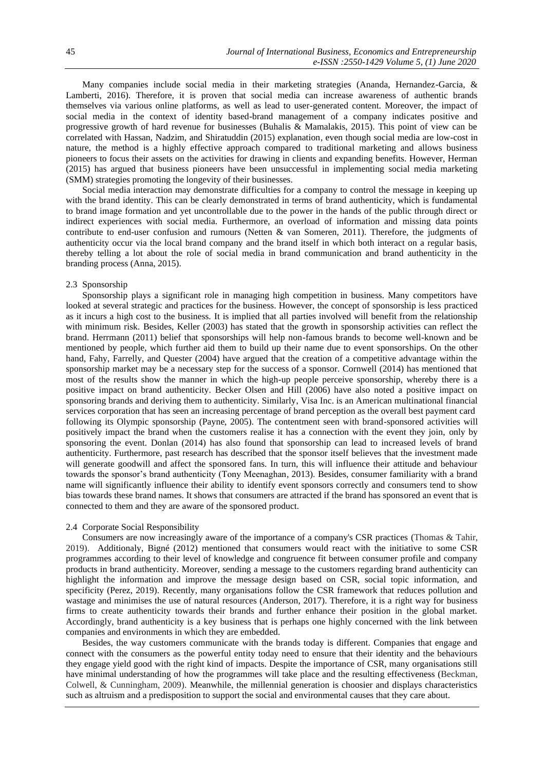Many companies include social media in their marketing strategies (Ananda, Hernandez-Garcia, & Lamberti, 2016). Therefore, it is proven that social media can increase awareness of authentic brands themselves via various online platforms, as well as lead to user-generated content. Moreover, the impact of social media in the context of identity based-brand management of a company indicates positive and progressive growth of hard revenue for businesses (Buhalis & Mamalakis, 2015). This point of view can be correlated with Hassan, Nadzim, and Shiratuddin (2015) explanation, even though social media are low-cost in nature, the method is a highly effective approach compared to traditional marketing and allows business pioneers to focus their assets on the activities for drawing in clients and expanding benefits. However, Herman (2015) has argued that business pioneers have been unsuccessful in implementing social media marketing (SMM) strategies promoting the longevity of their businesses.

Social media interaction may demonstrate difficulties for a company to control the message in keeping up with the brand identity. This can be clearly demonstrated in terms of brand authenticity, which is fundamental to brand image formation and yet uncontrollable due to the power in the hands of the public through direct or indirect experiences with social media. Furthermore, an overload of information and missing data points contribute to end-user confusion and rumours (Netten & van Someren, 2011). Therefore, the judgments of authenticity occur via the local brand company and the brand itself in which both interact on a regular basis, thereby telling a lot about the role of social media in brand communication and brand authenticity in the branding process (Anna, 2015).

#### 2.3 Sponsorship

Sponsorship plays a significant role in managing high competition in business. Many competitors have looked at several strategic and practices for the business. However, the concept of sponsorship is less practiced as it incurs a high cost to the business. It is implied that all parties involved will benefit from the relationship with minimum risk. Besides, Keller (2003) has stated that the growth in sponsorship activities can reflect the brand. Herrmann (2011) belief that sponsorships will help non-famous brands to become well-known and be mentioned by people, which further aid them to build up their name due to event sponsorships. On the other hand, Fahy, Farrelly, and Quester (2004) have argued that the creation of a competitive advantage within the sponsorship market may be a necessary step for the success of a sponsor. Cornwell (2014) has mentioned that most of the results show the manner in which the high-up people perceive sponsorship, whereby there is a positive impact on brand authenticity. Becker Olsen and Hill (2006) have also noted a positive impact on sponsoring brands and deriving them to authenticity. Similarly, Visa Inc. is an American multinational financial services corporation that has seen an increasing percentage of brand perception as the overall best payment card following its Olympic sponsorship (Payne, 2005). The contentment seen with brand-sponsored activities will positively impact the brand when the customers realise it has a connection with the event they join, only by sponsoring the event. Donlan (2014) has also found that sponsorship can lead to increased levels of brand authenticity. Furthermore, past research has described that the sponsor itself believes that the investment made will generate goodwill and affect the sponsored fans. In turn, this will influence their attitude and behaviour towards the sponsor's brand authenticity (Tony Meenaghan, 2013). Besides, consumer familiarity with a brand name will significantly influence their ability to identify event sponsors correctly and consumers tend to show bias towards these brand names. It shows that consumers are attracted if the brand has sponsored an event that is connected to them and they are aware of the sponsored product.

### 2.4 Corporate Social Responsibility

Consumers are now increasingly aware of the importance of a company's CSR practices (Thomas & Tahir, 2019). Additionaly, Bigné (2012) mentioned that consumers would react with the initiative to some CSR programmes according to their level of knowledge and congruence fit between consumer profile and company products in brand authenticity. Moreover, sending a message to the customers regarding brand authenticity can highlight the information and improve the message design based on CSR, social topic information, and specificity (Perez, 2019). Recently, many organisations follow the CSR framework that reduces pollution and wastage and minimises the use of natural resources (Anderson, 2017). Therefore, it is a right way for business firms to create authenticity towards their brands and further enhance their position in the global market. Accordingly, brand authenticity is a key business that is perhaps one highly concerned with the link between companies and environments in which they are embedded.

Besides, the way customers communicate with the brands today is different. Companies that engage and connect with the consumers as the powerful entity today need to ensure that their identity and the behaviours they engage yield good with the right kind of impacts. Despite the importance of CSR, many organisations still have minimal understanding of how the programmes will take place and the resulting effectiveness (Beckman, Colwell, & Cunningham, 2009). Meanwhile, the millennial generation is choosier and displays characteristics such as altruism and a predisposition to support the social and environmental causes that they care about.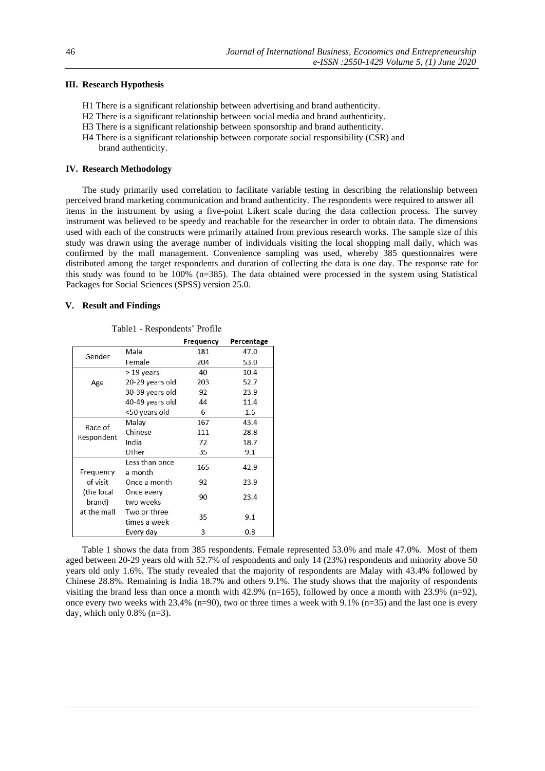## **III. Research Hypothesis**

- H1 There is a significant relationship between advertising and brand authenticity.
- H2 There is a significant relationship between social media and brand authenticity.
- H3 There is a significant relationship between sponsorship and brand authenticity.
- H4 There is a significant relationship between corporate social responsibility (CSR) and brand authenticity.

#### **IV. Research Methodology**

The study primarily used correlation to facilitate variable testing in describing the relationship between perceived brand marketing communication and brand authenticity. The respondents were required to answer all items in the instrument by using a five-point Likert scale during the data collection process. The survey instrument was believed to be speedy and reachable for the researcher in order to obtain data. The dimensions used with each of the constructs were primarily attained from previous research works. The sample size of this study was drawn using the average number of individuals visiting the local shopping mall daily, which was confirmed by the mall management. Convenience sampling was used, whereby 385 questionnaires were distributed among the target respondents and duration of collecting the data is one day. The response rate for this study was found to be 100% (n=385). The data obtained were processed in the system using Statistical Packages for Social Sciences (SPSS) version 25.0.

### **V. Result and Findings**

|                                     |                              | Frequency | Percentage |
|-------------------------------------|------------------------------|-----------|------------|
| Gender                              | Male                         | 181       | 47.0       |
|                                     | Female                       | 204       | 53.0       |
|                                     | > 19 years                   | 40        | 10.4       |
| Age                                 | 20-29 years old              | 203       | 52.7       |
|                                     | 30-39 years old              | 92        | 23.9       |
|                                     | 40-49 years old              | 44        | 11.4       |
|                                     | <50 years old                | 6         | 1.6        |
|                                     | Malay                        | 167       | 43.4       |
| Race of                             | Chinese                      | 111       | 28.8       |
| Respondent                          | India                        | 72        | 18.7       |
|                                     | Other                        | 35        | 9.1        |
| Frequency                           | Less than once<br>a month    | 165       | 42.9       |
| of visit                            | Once a month                 | 92        | 23.9       |
| (the local<br>brand)<br>at the mall | Once every<br>two weeks      | 90        | 23.4       |
|                                     | Two or three<br>times a week | 35        | 9.1        |
|                                     | Every day                    | 3         | 0.8        |

Table1 - Respondents' Profile

Table 1 shows the data from 385 respondents. Female represented 53.0% and male 47.0%. Most of them aged between 20-29 years old with 52.7% of respondents and only 14 (23%) respondents and minority above 50 years old only 1.6%. The study revealed that the majority of respondents are Malay with 43.4% followed by Chinese 28.8%. Remaining is India 18.7% and others 9.1%. The study shows that the majority of respondents visiting the brand less than once a month with 42.9% (n=165), followed by once a month with 23.9% (n=92), once every two weeks with  $23.4\%$  (n=90), two or three times a week with 9.1% (n=35) and the last one is every day, which only  $0.8\%$  (n=3).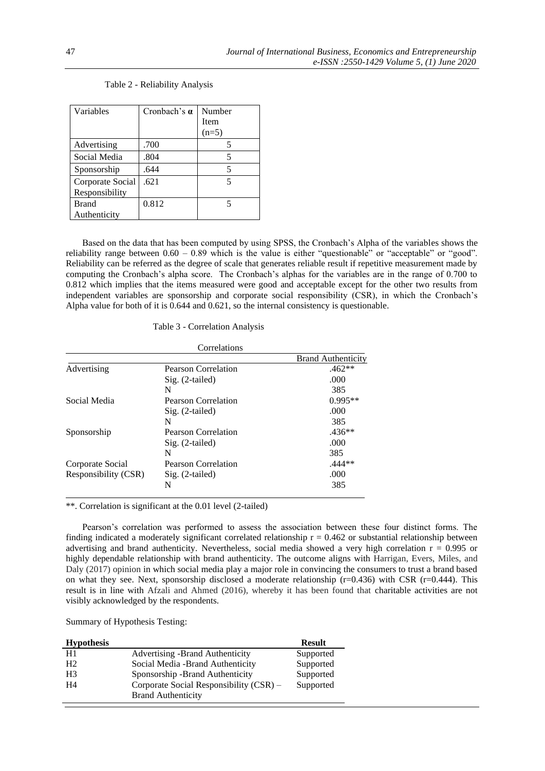| Variables        | Cronbach's $\alpha$ | Number  |
|------------------|---------------------|---------|
|                  |                     | Item    |
|                  |                     | $(n=5)$ |
| Advertising      | .700                |         |
| Social Media     | .804                | 5       |
| Sponsorship      | .644                | 5       |
| Corporate Social | .621                | 5       |
| Responsibility   |                     |         |
| <b>Brand</b>     | 0.812               | 5       |
| Authenticity     |                     |         |

## Table 2 - Reliability Analysis

Based on the data that has been computed by using SPSS, the Cronbach's Alpha of the variables shows the reliability range between 0.60 – 0.89 which is the value is either "questionable" or "acceptable" or "good". Reliability can be referred as the degree of scale that generates reliable result if repetitive measurement made by computing the Cronbach's alpha score. The Cronbach's alphas for the variables are in the range of 0.700 to 0.812 which implies that the items measured were good and acceptable except for the other two results from independent variables are sponsorship and corporate social responsibility (CSR), in which the Cronbach's Alpha value for both of it is 0.644 and 0.621, so the internal consistency is questionable.

## Table 3 - Correlation Analysis

|                      | Correlations               |                           |
|----------------------|----------------------------|---------------------------|
|                      |                            | <b>Brand Authenticity</b> |
| Advertising          | Pearson Correlation        | $.462**$                  |
|                      | $Sig. (2-tailed)$          | .000                      |
|                      | N                          | 385                       |
| Social Media         | Pearson Correlation        | $0.995**$                 |
|                      | $Sig. (2-tailed)$          | .000                      |
|                      | N                          | 385                       |
| Sponsorship          | Pearson Correlation        | $.436**$                  |
|                      | $Sig. (2-tailed)$          | .000                      |
|                      | N                          | 385                       |
| Corporate Social     | <b>Pearson Correlation</b> | $.444**$                  |
| Responsibility (CSR) | $\mathrm{Sig.}$ (2-tailed) | .000                      |
|                      | N                          | 385                       |
|                      |                            |                           |

\*\*. Correlation is significant at the 0.01 level (2-tailed)

Pearson's correlation was performed to assess the association between these four distinct forms. The finding indicated a moderately significant correlated relationship  $r = 0.462$  or substantial relationship between advertising and brand authenticity. Nevertheless, social media showed a very high correlation  $r = 0.995$  or highly dependable relationship with brand authenticity. The outcome aligns with Harrigan, Evers, Miles, and Daly (2017) opinion in which social media play a major role in convincing the consumers to trust a brand based on what they see. Next, sponsorship disclosed a moderate relationship  $(r=0.436)$  with CSR  $(r=0.444)$ . This result is in line with Afzali and Ahmed (2016), whereby it has been found that charitable activities are not visibly acknowledged by the respondents.

Summary of Hypothesis Testing:

| <b>Hypothesis</b> |                                         | <b>Result</b> |
|-------------------|-----------------------------------------|---------------|
| H1                | <b>Advertising -Brand Authenticity</b>  | Supported     |
| H <sub>2</sub>    | Social Media -Brand Authenticity        | Supported     |
| H <sub>3</sub>    | Sponsorship -Brand Authenticity         | Supported     |
| H4                | Corporate Social Responsibility (CSR) – | Supported     |
|                   | <b>Brand Authenticity</b>               |               |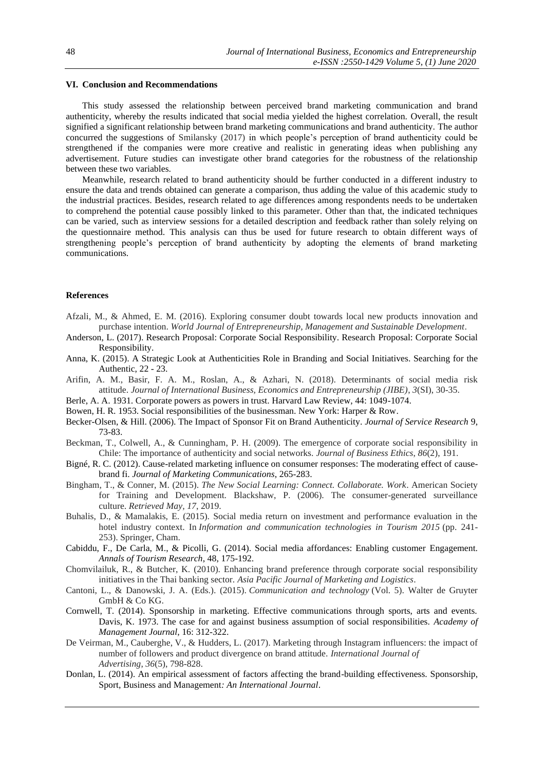#### **VI. Conclusion and Recommendations**

This study assessed the relationship between perceived brand marketing communication and brand authenticity, whereby the results indicated that social media yielded the highest correlation. Overall, the result signified a significant relationship between brand marketing communications and brand authenticity. The author concurred the suggestions of Smilansky (2017) in which people's perception of brand authenticity could be strengthened if the companies were more creative and realistic in generating ideas when publishing any advertisement. Future studies can investigate other brand categories for the robustness of the relationship between these two variables.

Meanwhile, research related to brand authenticity should be further conducted in a different industry to ensure the data and trends obtained can generate a comparison, thus adding the value of this academic study to the industrial practices. Besides, research related to age differences among respondents needs to be undertaken to comprehend the potential cause possibly linked to this parameter. Other than that, the indicated techniques can be varied, such as interview sessions for a detailed description and feedback rather than solely relying on the questionnaire method. This analysis can thus be used for future research to obtain different ways of strengthening people's perception of brand authenticity by adopting the elements of brand marketing communications.

## **References**

- Afzali, M., & Ahmed, E. M. (2016). Exploring consumer doubt towards local new products innovation and purchase intention. *World Journal of Entrepreneurship, Management and Sustainable Development*.
- Anderson, L. (2017). Research Proposal: Corporate Social Responsibility. Research Proposal: Corporate Social Responsibility.
- Anna, K. (2015). A Strategic Look at Authenticities Role in Branding and Social Initiatives. Searching for the Authentic, 22 - 23.
- Arifin, A. M., Basir, F. A. M., Roslan, A., & Azhari, N. (2018). Determinants of social media risk attitude. *Journal of International Business, Economics and Entrepreneurship (JIBE)*, *3*(SI), 30-35.
- Berle, A. A. 1931. Corporate powers as powers in trust. Harvard Law Review, 44: 1049-1074.
- Bowen, H. R. 1953. Social responsibilities of the businessman. New York: Harper & Row.
- Becker-Olsen, & Hill. (2006). The Impact of Sponsor Fit on Brand Authenticity. *Journal of Service Research* 9, 73-83.
- Beckman, T., Colwell, A., & Cunningham, P. H. (2009). The emergence of corporate social responsibility in Chile: The importance of authenticity and social networks. *Journal of Business Ethics*, *86*(2), 191.
- Bigné, R. C. (2012). Cause-related marketing influence on consumer responses: The moderating effect of causebrand fi. *Journal of Marketing Communications*, 265-283.
- Bingham, T., & Conner, M. (2015). *The New Social Learning: Connect. Collaborate. Work*. American Society for Training and Development. Blackshaw, P. (2006). The consumer-generated surveillance culture. *Retrieved May, 17*, 2019.
- Buhalis, D., & Mamalakis, E. (2015). Social media return on investment and performance evaluation in the hotel industry context. In *Information and communication technologies in Tourism 2015* (pp. 241- 253). Springer, Cham.
- Cabiddu, F., De Carla, M., & Picolli, G. (2014). Social media affordances: Enabling customer Engagement. *Annals of Tourism Research*, 48, 175-192.
- Chomvilailuk, R., & Butcher, K. (2010). Enhancing brand preference through corporate social responsibility initiatives in the Thai banking sector. *Asia Pacific Journal of Marketing and Logistics*.
- Cantoni, L., & Danowski, J. A. (Eds.). (2015). *Communication and technology* (Vol. 5). Walter de Gruyter GmbH & Co KG.
- Cornwell, T. (2014). Sponsorship in marketing. Effective communications through sports, arts and events. Davis, K. 1973. The case for and against business assumption of social responsibilities. *Academy of Management Journal*, 16: 312-322.
- De Veirman, M., Cauberghe, V., & Hudders, L. (2017). Marketing through Instagram influencers: the impact of number of followers and product divergence on brand attitude. *International Journal of Advertising*, *36*(5), 798-828.
- Donlan, L. (2014). An empirical assessment of factors affecting the brand-building effectiveness. Sponsorship, Sport, Business and Management*: An International Journal*.